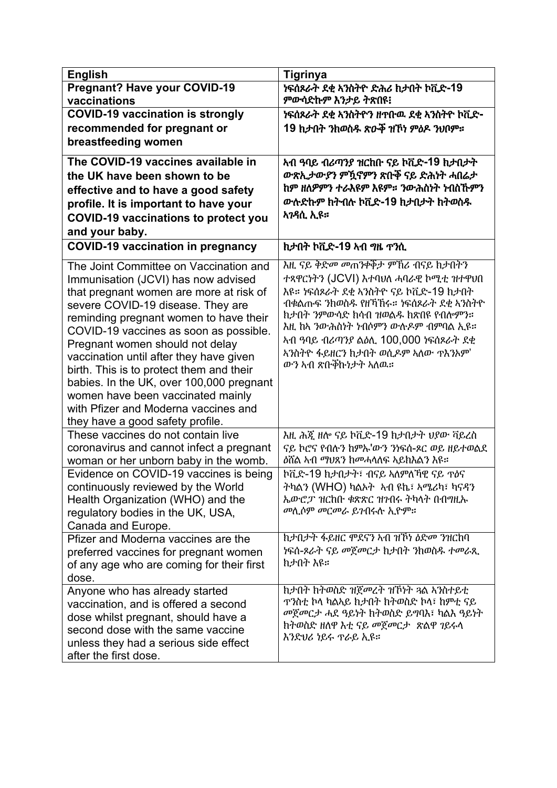| <b>English</b>                                                                                                                                                                                                                                                                                                                                                                                                                                                                                                                           | <b>Tigrinya</b>                                                                                                                                                                                                                                                                                                                 |
|------------------------------------------------------------------------------------------------------------------------------------------------------------------------------------------------------------------------------------------------------------------------------------------------------------------------------------------------------------------------------------------------------------------------------------------------------------------------------------------------------------------------------------------|---------------------------------------------------------------------------------------------------------------------------------------------------------------------------------------------------------------------------------------------------------------------------------------------------------------------------------|
| <b>Pregnant? Have your COVID-19</b>                                                                                                                                                                                                                                                                                                                                                                                                                                                                                                      | ነፍሰጾራት ደቂ አንስትዮ ድሕሪ ከታበት ኮቪድ-19                                                                                                                                                                                                                                                                                                 |
| vaccinations                                                                                                                                                                                                                                                                                                                                                                                                                                                                                                                             | ምውሳድኩም እንታይ ትጽበዩ፧                                                                                                                                                                                                                                                                                                               |
| <b>COVID-19 vaccination is strongly</b>                                                                                                                                                                                                                                                                                                                                                                                                                                                                                                  | ነፍሰጾራት ደቂ ኣንስትዮን ዘጥቡዉ ደቂ ኣንስትዮ ኮቪድ-                                                                                                                                                                                                                                                                                             |
| recommended for pregnant or                                                                                                                                                                                                                                                                                                                                                                                                                                                                                                              | 19 ኪታበት ንከወስዱ ጽዑቅ ዝኾነ ምዕዶ ንህበም።                                                                                                                                                                                                                                                                                                 |
| breastfeeding women                                                                                                                                                                                                                                                                                                                                                                                                                                                                                                                      |                                                                                                                                                                                                                                                                                                                                 |
| The COVID-19 vaccines available in                                                                                                                                                                                                                                                                                                                                                                                                                                                                                                       | ኣብ ዓባይ ብሪጣንያ ዝርከቡ ናይ ኮቪድ-19 ከታበታት                                                                                                                                                                                                                                                                                               |
| the UK have been shown to be                                                                                                                                                                                                                                                                                                                                                                                                                                                                                                             | ውጽኢታውያን ምዃኖምን ጽቡቐ ናይ ድሕነት ሓበሬታ                                                                                                                                                                                                                                                                                                  |
| effective and to have a good safety                                                                                                                                                                                                                                                                                                                                                                                                                                                                                                      | ከም ዘለዎምን ተራእዩም እዩም። ንውሕስነት ነብስኹምን                                                                                                                                                                                                                                                                                               |
| profile. It is important to have your                                                                                                                                                                                                                                                                                                                                                                                                                                                                                                    | ውሉድኩም ከትብሉ ኮቪድ-19 ከታበታት ከትወስዱ                                                                                                                                                                                                                                                                                                   |
| <b>COVID-19 vaccinations to protect you</b>                                                                                                                                                                                                                                                                                                                                                                                                                                                                                              | አንዳሲ ኢዩ።                                                                                                                                                                                                                                                                                                                        |
| and your baby.                                                                                                                                                                                                                                                                                                                                                                                                                                                                                                                           |                                                                                                                                                                                                                                                                                                                                 |
| <b>COVID-19 vaccination in pregnancy</b>                                                                                                                                                                                                                                                                                                                                                                                                                                                                                                 | ክታበት ኮቪድ-19 ኣብ ግዜ ጥንሲ                                                                                                                                                                                                                                                                                                           |
| The Joint Committee on Vaccination and<br>Immunisation (JCVI) has now advised<br>that pregnant women are more at risk of<br>severe COVID-19 disease. They are<br>reminding pregnant women to have their<br>COVID-19 vaccines as soon as possible.<br>Pregnant women should not delay<br>vaccination until after they have given<br>birth. This is to protect them and their<br>babies. In the UK, over 100,000 pregnant<br>women have been vaccinated mainly<br>with Pfizer and Moderna vaccines and<br>they have a good safety profile. | እዚ ናይ ቅድመ መጠንቀቅታ ምኸሪ ብናይ ከታበትን<br>ተጻዋርነትን (JCVI) እተባህለ ሓባራዊ ኮሚቲ ዝተዋህበ<br>እዩ። ነፍሰጾራት ደቂ ኣንስትዮ ናይ ኮቪድ-19 ከታበት<br>ብቁልጡፍ ንከወስዱ የዘኻኸሩ። ነፍሰጾራት ደቂ አንስትዮ<br>ከታበት ንምውሳድ ከሳብ ዝወልዱ ከጽበዩ የብሎምን።<br>እዚ ከአ ንውሕስነት ነብሶምን ውሱዶም ብምባል ኢዩ።<br>ኣብ ዓባይ ብሪጣንያ ልዕሊ 100,000 ነፍሰጾራት ደቂ<br><u>አንስትዮ ፋይዘርን ከታበት ወሲዶም አለው ጥእንአም'</u><br>ውን አብ ጽቡቐኩነታት ኣለዉ። |
| These vaccines do not contain live                                                                                                                                                                                                                                                                                                                                                                                                                                                                                                       | እዚ ሕጇ ዘሎ ናይ ኮቪድ-19 ክታበታት ህያው ቫይረስ                                                                                                                                                                                                                                                                                               |
| coronavirus and cannot infect a pregnant                                                                                                                                                                                                                                                                                                                                                                                                                                                                                                 | ናይ ኮሮና የብሉን ከምኡ'ውን ንነፍሰ-ጾር ወይ ዘይተወልደ                                                                                                                                                                                                                                                                                            |
| woman or her unborn baby in the womb.                                                                                                                                                                                                                                                                                                                                                                                                                                                                                                    | ዕሽል ኣብ ማህጸን ከመሓላለፍ ኣይክእልን እዩ።                                                                                                                                                                                                                                                                                                   |
| Evidence on COVID-19 vaccines is being                                                                                                                                                                                                                                                                                                                                                                                                                                                                                                   | ኮቪድ-19 ከታበታት፣ ብናይ ኣለምለኻዊ ናይ ጥዕና                                                                                                                                                                                                                                                                                                 |
| continuously reviewed by the World                                                                                                                                                                                                                                                                                                                                                                                                                                                                                                       | ትካልን (WHO) ካልኦት አብ ዩኬ፣ አሜሪካ፣ ካናዳን                                                                                                                                                                                                                                                                                               |
| Health Organization (WHO) and the                                                                                                                                                                                                                                                                                                                                                                                                                                                                                                        | ኤውሮፓ ዝርከቡ ቁጽጽር ዝንብሩ ትካላት በብግዚኡ                                                                                                                                                                                                                                                                                                  |
| regulatory bodies in the UK, USA,                                                                                                                                                                                                                                                                                                                                                                                                                                                                                                        | መሲሰም መርመራ ይንብሩሱ ኢዮም።                                                                                                                                                                                                                                                                                                            |
| Canada and Europe.                                                                                                                                                                                                                                                                                                                                                                                                                                                                                                                       |                                                                                                                                                                                                                                                                                                                                 |
| Pfizer and Moderna vaccines are the                                                                                                                                                                                                                                                                                                                                                                                                                                                                                                      | ከታበታት ፋይዘር ሞደናን ኣብ ዝኾነ ዕድመ ንዝርከባ<br>ነፍሰ-ጾራት ናይ መጀመርታ ከታበት ንከወስዱ ተመራጺ                                                                                                                                                                                                                                                            |
| preferred vaccines for pregnant women                                                                                                                                                                                                                                                                                                                                                                                                                                                                                                    | ክታበት እዩ።                                                                                                                                                                                                                                                                                                                        |
| of any age who are coming for their first<br>dose.                                                                                                                                                                                                                                                                                                                                                                                                                                                                                       |                                                                                                                                                                                                                                                                                                                                 |
| Anyone who has already started                                                                                                                                                                                                                                                                                                                                                                                                                                                                                                           | ከታበት ከትወስድ ዝጀመረት ዝኾነት ጓል አንስተይቲ                                                                                                                                                                                                                                                                                                 |
| vaccination, and is offered a second                                                                                                                                                                                                                                                                                                                                                                                                                                                                                                     |                                                                                                                                                                                                                                                                                                                                 |
| dose whilst pregnant, should have a                                                                                                                                                                                                                                                                                                                                                                                                                                                                                                      | መጀመርታ ሓደ ዓይነት ከትወስድ ይግባእ፣ ካልእ ዓይነት                                                                                                                                                                                                                                                                                              |
| second dose with the same vaccine                                                                                                                                                                                                                                                                                                                                                                                                                                                                                                        | ከትወስድ ዘለዋ እቲ ናይ መጀመርታ  ጽልዋ ኀይሩላ                                                                                                                                                                                                                                                                                                 |
| unless they had a serious side effect                                                                                                                                                                                                                                                                                                                                                                                                                                                                                                    | እንድህሪ ነይሩ ፕራይ ኢዩ።                                                                                                                                                                                                                                                                                                               |
| after the first dose.                                                                                                                                                                                                                                                                                                                                                                                                                                                                                                                    |                                                                                                                                                                                                                                                                                                                                 |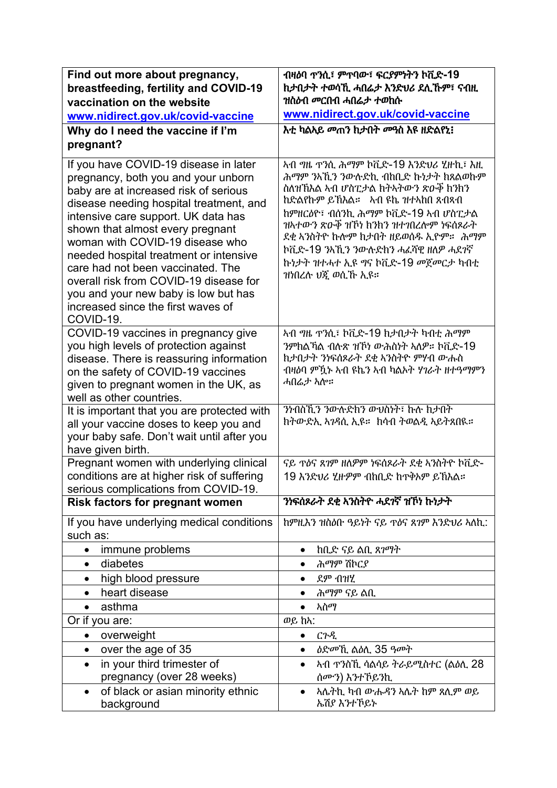| Find out more about pregnancy,                                                                                                                                                                                                                                                                                                                                                                                                                                                                     | ብዛዕባ ጥንሲ፣ ምጥባው፣ ፍርያምነትን ኮቪድ-19                                                                                                                                                                                                                                                                                                                     |
|----------------------------------------------------------------------------------------------------------------------------------------------------------------------------------------------------------------------------------------------------------------------------------------------------------------------------------------------------------------------------------------------------------------------------------------------------------------------------------------------------|----------------------------------------------------------------------------------------------------------------------------------------------------------------------------------------------------------------------------------------------------------------------------------------------------------------------------------------------------|
| breastfeeding, fertility and COVID-19                                                                                                                                                                                                                                                                                                                                                                                                                                                              | ከታበታት ተወሳኺ ሓበሬታ እንድህሪ ደሊኹም፣ ናብዚ                                                                                                                                                                                                                                                                                                                    |
| vaccination on the website                                                                                                                                                                                                                                                                                                                                                                                                                                                                         | ዝስዕብ <i>መ</i> ርበብ ሓበሬ <i>ታ ተ</i> ወከሱ<br>www.nidirect.gov.uk/covid-vaccine                                                                                                                                                                                                                                                                          |
| www.nidirect.gov.uk/covid-vaccine                                                                                                                                                                                                                                                                                                                                                                                                                                                                  | <i>እቲ ካ</i> ልኣይ መጠን ከታበት መዓስ እዩ ዘድልየኒ፧                                                                                                                                                                                                                                                                                                             |
| Why do I need the vaccine if I'm                                                                                                                                                                                                                                                                                                                                                                                                                                                                   |                                                                                                                                                                                                                                                                                                                                                    |
| pregnant?                                                                                                                                                                                                                                                                                                                                                                                                                                                                                          |                                                                                                                                                                                                                                                                                                                                                    |
| If you have COVID-19 disease in later<br>pregnancy, both you and your unborn<br>baby are at increased risk of serious<br>disease needing hospital treatment, and<br>intensive care support. UK data has<br>shown that almost every pregnant<br>woman with COVID-19 disease who<br>needed hospital treatment or intensive<br>care had not been vaccinated. The<br>overall risk from COVID-19 disease for<br>you and your new baby is low but has<br>increased since the first waves of<br>COVID-19. | ኣብ ግዜ ጥንሲ ሕማም ኮቪድ-19 እንድህሪ ሂዙኪ፣ እዚ<br>ሕማም ንለኺን ንውሉድኪ ብከቢድ ኩነታት ከጸልወኩም<br>ስለዝኸእል ኣብ ሆስፒታል ክትኣትውን ጽዑቐ ክንክን<br>ከድልየኩም ይኸእል። አብ ዩኬ ዝተኣከበ ጸብጻብ<br>ከምዘርዕዮ፣ ብሰንኪ ሕማም ኮቪድ-19 ኣብ ሆስፒታል<br>ዝኣተውን ጽዑቅ ዝኾነ ከንከን ዝተገበረሎም ነፍሰጾራት<br>ደቂ ኣንስትዮ ኩሎም ከታበት ዘይወሰዱ ኢዮም። ሕማም<br>ኮቪድ-19 ንአኺን ንውሉድክን ሓፈሻዊ ዘለዎ ሓደንኛ<br>ኩነታት ዝተሓተ ኢዩ ግና ኮቪድ-19 መጀመርታ ካብቲ<br>ዝነበረሉ ህጇ ወሲኸ ኢዩ። |
| COVID-19 vaccines in pregnancy give                                                                                                                                                                                                                                                                                                                                                                                                                                                                | ኣብ ግዜ ጥንሲ፣ ኮቪድ-19 ክታበታት ካብቲ ሕማም                                                                                                                                                                                                                                                                                                                    |
| you high levels of protection against                                                                                                                                                                                                                                                                                                                                                                                                                                                              | ንምከልኻል ብሉጽ ዝኾነ ውሕስነት ኣለዎ። ኮቪድ-19                                                                                                                                                                                                                                                                                                                   |
| disease. There is reassuring information                                                                                                                                                                                                                                                                                                                                                                                                                                                           | ከታበታት ንነፍሰጾራት ደቂ ኣንስትዮ ምሃብ ውሑስ                                                                                                                                                                                                                                                                                                                     |
| on the safety of COVID-19 vaccines                                                                                                                                                                                                                                                                                                                                                                                                                                                                 | ብዛዕባ ምዃኑ ኣብ ዩኬን ኣብ ካልኦት ሃገራት ዘተዓማምን<br>ሓበሬታ ኣሎ።                                                                                                                                                                                                                                                                                                    |
| given to pregnant women in the UK, as<br>well as other countries.                                                                                                                                                                                                                                                                                                                                                                                                                                  |                                                                                                                                                                                                                                                                                                                                                    |
| It is important that you are protected with                                                                                                                                                                                                                                                                                                                                                                                                                                                        | ንነብስኺን ንውሉድክን ውህስነት፣ ኩሉ ክታበት                                                                                                                                                                                                                                                                                                                       |
| all your vaccine doses to keep you and                                                                                                                                                                                                                                                                                                                                                                                                                                                             | ከትውድኢ ኣ <i>ገ</i> ዳሲ ኢዩ። ከሳብ ትወልዲ ኣይትጸበዪ።                                                                                                                                                                                                                                                                                                           |
| your baby safe. Don't wait until after you                                                                                                                                                                                                                                                                                                                                                                                                                                                         |                                                                                                                                                                                                                                                                                                                                                    |
| have given birth.                                                                                                                                                                                                                                                                                                                                                                                                                                                                                  |                                                                                                                                                                                                                                                                                                                                                    |
| Pregnant women with underlying clinical                                                                                                                                                                                                                                                                                                                                                                                                                                                            | ናይ ጥዕና ጸገም ዘለዎም ነፍሰጾራት ደቂ አንስትዮ ኮቪድ-                                                                                                                                                                                                                                                                                                               |
| conditions are at higher risk of suffering                                                                                                                                                                                                                                                                                                                                                                                                                                                         | 19 እንድህሪ ሂዙዎም ብከቢድ ከጥቅኦም ይኸእል።                                                                                                                                                                                                                                                                                                                     |
| serious complications from COVID-19.<br><b>Risk factors for pregnant women</b>                                                                                                                                                                                                                                                                                                                                                                                                                     | ንነፍሰጾራት ደቂ አንስትዮ ሓደንኛ ዝኾነ ኩነታት                                                                                                                                                                                                                                                                                                                     |
|                                                                                                                                                                                                                                                                                                                                                                                                                                                                                                    |                                                                                                                                                                                                                                                                                                                                                    |
| If you have underlying medical conditions                                                                                                                                                                                                                                                                                                                                                                                                                                                          | ከምዚእን ዝስዕቡ ዓይነት ናይ ጥዕና ጸገም እንድህሪ ኣለኪ:                                                                                                                                                                                                                                                                                                              |
| such as:                                                                                                                                                                                                                                                                                                                                                                                                                                                                                           |                                                                                                                                                                                                                                                                                                                                                    |
| immune problems<br>$\bullet$                                                                                                                                                                                                                                                                                                                                                                                                                                                                       | ከቢድ ናይ ልቢ ጸ <i>ገ</i> ማት<br>$\bullet$                                                                                                                                                                                                                                                                                                               |
| diabetes<br>$\bullet$                                                                                                                                                                                                                                                                                                                                                                                                                                                                              | ሕማም ሽኮርያ<br>$\bullet$                                                                                                                                                                                                                                                                                                                              |
| high blood pressure<br>$\bullet$                                                                                                                                                                                                                                                                                                                                                                                                                                                                   | ደም ብዝሂ<br>$\bullet$                                                                                                                                                                                                                                                                                                                                |
| heart disease                                                                                                                                                                                                                                                                                                                                                                                                                                                                                      | ሕማም ናይ ልቢ                                                                                                                                                                                                                                                                                                                                          |
| asthma                                                                                                                                                                                                                                                                                                                                                                                                                                                                                             | አስማ<br>$\bullet$<br>ወይ ከአ:                                                                                                                                                                                                                                                                                                                         |
| Or if you are:                                                                                                                                                                                                                                                                                                                                                                                                                                                                                     |                                                                                                                                                                                                                                                                                                                                                    |
| overweight<br>$\bullet$<br>over the age of 35<br>$\bullet$                                                                                                                                                                                                                                                                                                                                                                                                                                         | ርጉዲ<br>$\bullet$<br><i>ዕድመኺ ልዕ</i> ሲ 35 ዓመት<br>$\bullet$                                                                                                                                                                                                                                                                                           |
| in your third trimester of<br>$\bullet$                                                                                                                                                                                                                                                                                                                                                                                                                                                            | ኣብ  ንስኺ ሳልሳይ ትራይሚስተር (ልዕሊ 28<br>$\bullet$                                                                                                                                                                                                                                                                                                          |
| pregnancy (over 28 weeks)                                                                                                                                                                                                                                                                                                                                                                                                                                                                          | ሰሙን) እንተኾይንኪ                                                                                                                                                                                                                                                                                                                                       |
| of black or asian minority ethnic<br>$\bullet$                                                                                                                                                                                                                                                                                                                                                                                                                                                     | <u>አሌትኪ ካብ ውሑዳን አሌት ከም ጸሊም ወይ</u><br>$\bullet$                                                                                                                                                                                                                                                                                                     |
| background                                                                                                                                                                                                                                                                                                                                                                                                                                                                                         | ኤሽያ እንተኾይኑ                                                                                                                                                                                                                                                                                                                                         |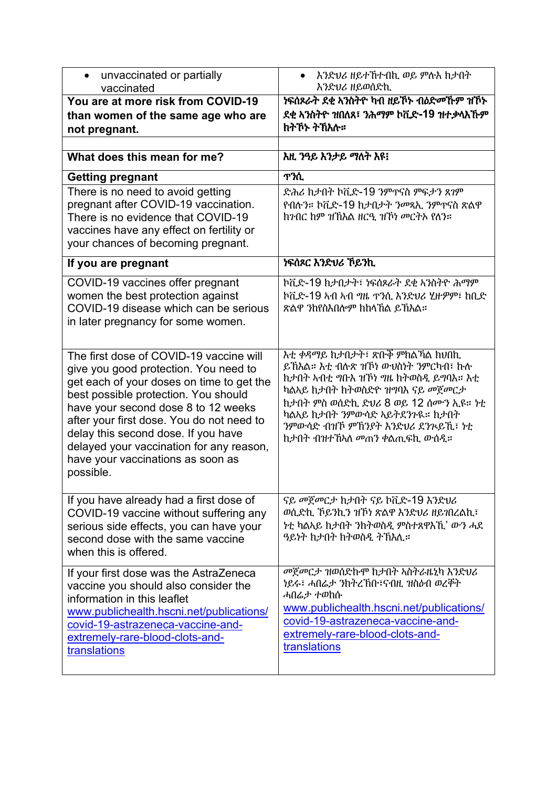| unvaccinated or partially<br>$\bullet$<br>vaccinated                                                                                                                                                                                                                                                                                                                                           | እንድህሪ ዘይተኸተብኪ ወይ ምሉእ ከታበት<br>እንድህሪ ዘይወሰድኪ                                                                                                                                                                                                                                          |
|------------------------------------------------------------------------------------------------------------------------------------------------------------------------------------------------------------------------------------------------------------------------------------------------------------------------------------------------------------------------------------------------|------------------------------------------------------------------------------------------------------------------------------------------------------------------------------------------------------------------------------------------------------------------------------------|
| You are at more risk from COVID-19                                                                                                                                                                                                                                                                                                                                                             | ነፍሰጾራት ደቂ ኣንስትዮ ካብ ዘይኾኑ ብዕድመኾም ዝኾኑ                                                                                                                                                                                                                                                 |
| than women of the same age who are                                                                                                                                                                                                                                                                                                                                                             | ደቂ አንስትዮ ዝበለጸ፣ ንሕማም ኮቪድ-19 ዝተቃላእኹም                                                                                                                                                                                                                                                 |
| not pregnant.                                                                                                                                                                                                                                                                                                                                                                                  | ክትኾኑ ትኸእሉ።                                                                                                                                                                                                                                                                         |
|                                                                                                                                                                                                                                                                                                                                                                                                |                                                                                                                                                                                                                                                                                    |
| What does this mean for me?                                                                                                                                                                                                                                                                                                                                                                    | እዚ ንዓይ እንታይ ማለት እዩ፧                                                                                                                                                                                                                                                                |
| <b>Getting pregnant</b>                                                                                                                                                                                                                                                                                                                                                                        | <b>T?ሲ</b>                                                                                                                                                                                                                                                                         |
| There is no need to avoid getting                                                                                                                                                                                                                                                                                                                                                              | ድሕሪ ከታበት ኮቪድ-19 ንምዋናስ ምፍታን ጸገም                                                                                                                                                                                                                                                     |
| pregnant after COVID-19 vaccination.                                                                                                                                                                                                                                                                                                                                                           | የብሉን። ኮቪድ-19 ከታበታት ንመጻኢ ንምጥናስ ጽልዋ                                                                                                                                                                                                                                                  |
| There is no evidence that COVID-19                                                                                                                                                                                                                                                                                                                                                             | ከንብር ከም ዝኽእል ዘርዒ ዝኸነ መርትኦ የለን።                                                                                                                                                                                                                                                     |
| vaccines have any effect on fertility or                                                                                                                                                                                                                                                                                                                                                       |                                                                                                                                                                                                                                                                                    |
| your chances of becoming pregnant.                                                                                                                                                                                                                                                                                                                                                             |                                                                                                                                                                                                                                                                                    |
| If you are pregnant                                                                                                                                                                                                                                                                                                                                                                            | ነፍሰጾር እንድህሪ ኾይንኪ                                                                                                                                                                                                                                                                   |
| COVID-19 vaccines offer pregnant                                                                                                                                                                                                                                                                                                                                                               | ኮቪድ-19 ከታበታት፣ ነፍሰጾራት ደቂ አንስትዮ ሕማም                                                                                                                                                                                                                                                  |
| women the best protection against                                                                                                                                                                                                                                                                                                                                                              | ኮቪድ-19 ኣብ ኣብ ግዜ ተንሲ እንድህሪ ሂዙዎም፣ ከቢድ                                                                                                                                                                                                                                                |
| COVID-19 disease which can be serious                                                                                                                                                                                                                                                                                                                                                          | ጽልዋ ንከየስእበሎም ክከላኸል ይኸእል።                                                                                                                                                                                                                                                           |
| in later pregnancy for some women.                                                                                                                                                                                                                                                                                                                                                             |                                                                                                                                                                                                                                                                                    |
|                                                                                                                                                                                                                                                                                                                                                                                                |                                                                                                                                                                                                                                                                                    |
| The first dose of COVID-19 vaccine will<br>give you good protection. You need to<br>get each of your doses on time to get the<br>best possible protection. You should<br>have your second dose 8 to 12 weeks<br>after your first dose. You do not need to<br>delay this second dose. If you have<br>delayed your vaccination for any reason,<br>have your vaccinations as soon as<br>possible. | እቲ ቀዳማይ ከታበታት፣ ጽቡኞ ምክልኻል ክህበኪ<br>ይኸእል። እቲ ብሉጽ ዝኾነ ውህስነት ንምርካብ፣ ኩሉ<br>ከታበት አብቲ ግቡእ ዝኾነ ግዜ ከትወስዲ ይግባእ። እቲ<br>ካልኣይ ከታበት ከትወስድዮ ዝግባእ ናይ መጀመርታ<br>ከታበት ምስ ወሰድኪ ድህሪ 8 ወይ 12 ሰሙን ኢዩ። ነቲ<br>ካልኣይ ከታበት ንምውሳድ ኣይትደንጉዪ። ከታበት<br>ንምውሳድ ብዝኾ ምሽንያት እንድህሪ ደንጒይኺ፣ ነቲ<br>ከታበት ብዝተኸኣለ መጠን ቀልጢፍኪ ውሰዲ። |
| If you have already had a first dose of                                                                                                                                                                                                                                                                                                                                                        | ናይ መጀመርታ ከታበት ናይ ኮቪድ-19 እንድህሪ                                                                                                                                                                                                                                                      |
| COVID-19 vaccine without suffering any<br>serious side effects, you can have your<br>second dose with the same vaccine<br>when this is offered.                                                                                                                                                                                                                                                | ወሲድኪ ኾይንኪን ዝኾነ ጽልዋ እንድህሪ ዘይገበረልኪ፣<br>ነቲ ካልኣይ ከታበት ንከትወስዲ ምስተጸዋእኺ' ውን ሓደ<br>ዓይነት ከታበት ከትወስዲ ትኽእሊ።                                                                                                                                                                                   |
| If your first dose was the AstraZeneca<br>vaccine you should also consider the<br>information in this leaflet<br>www.publichealth.hscni.net/publications/<br>covid-19-astrazeneca-vaccine-and-<br>extremely-rare-blood-clots-and-<br>translations                                                                                                                                              | መጀመርታ ዝወሰድኩም ከታበት ኣስትራዜኒካ እንድህሪ<br>ነይሩ፣ ሓበሬታ ንክትረኽቡ፣ናብዚ ዝስዕብ ወረቐት<br>ሓበሬታ ተወከሱ<br>www.publichealth.hscni.net/publications/<br>covid-19-astrazeneca-vaccine-and-<br>extremely-rare-blood-clots-and-<br>translations                                                                 |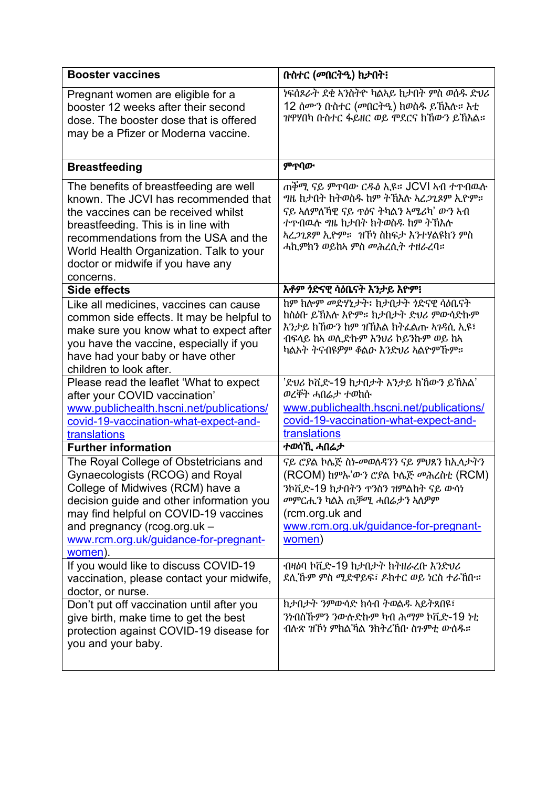| <b>Booster vaccines</b>                                                                                                                                                                                                                                                                           | በተስተር (መበርትዒ) ክታበት፡                                                                                                                                                                                                                           |
|---------------------------------------------------------------------------------------------------------------------------------------------------------------------------------------------------------------------------------------------------------------------------------------------------|-----------------------------------------------------------------------------------------------------------------------------------------------------------------------------------------------------------------------------------------------|
| Pregnant women are eligible for a<br>booster 12 weeks after their second<br>dose. The booster dose that is offered<br>may be a Pfizer or Moderna vaccine.                                                                                                                                         | ነፍሰጾራት ደቂ አንስትዮ ካልኣይ ከታበት ምስ ወሰዱ ድህሪ<br>12 ሰሙን ቡስተር (መበርትዒ) ክወስዱ ይኸእሉ። እቲ<br>ዝዋሃበካ ቡስተር ፋይዘር ወይ ሞደርና ከኸውን ይኸእል።                                                                                                                               |
| <b>Breastfeeding</b>                                                                                                                                                                                                                                                                              | ምጥበው                                                                                                                                                                                                                                          |
| The benefits of breastfeeding are well<br>known. The JCVI has recommended that<br>the vaccines can be received whilst<br>breastfeeding. This is in line with<br>recommendations from the USA and the<br>World Health Organization. Talk to your<br>doctor or midwife if you have any<br>concerns. | ጠቐሚ ናይ ምጥባው ርዱዕ ኢዩ። JCVI አብ ተጥብዉሱ<br><i>ግ</i> ዜ ከታበት ከትወስዱ ከም ትኽእሉ አረ <i>ጋጊ</i> ጾም ኢዮም።<br>ናይ ኣለምለኻዊ ናይ ጥዕና ትካልን አሜሪካ' ውን አብ<br>ተዋብዉሉ ግዜ ከታበት ከትወስዱ ከም ትኸእሉ<br><i>ኣረጋጊጾም ኢ</i> ዮም። <i>ዝኾነ ስ</i> ከፍታ እንተሃልዩከን ምስ<br>ሓኪምክን ወይከኣ ምስ መሕረሲት ተዘራረባ። |
| Side effects                                                                                                                                                                                                                                                                                      | እቶም ነድናዊ ሳዕቤናት እንታይ እዮም፧                                                                                                                                                                                                                      |
| Like all medicines, vaccines can cause<br>common side effects. It may be helpful to<br>make sure you know what to expect after<br>you have the vaccine, especially if you<br>have had your baby or have other<br>children to look after.                                                          | ከም ከሎም መድሃኒታት፡ ከታበታት ነድናዊ ሳዕቤናት<br>ከስዕቡ ይኸእሉ እዮም። ከታበታት ድህሪ ምውሳድኩም<br>እንታይ ከኸውን ከም ዝኸእል ከትፌልጡ ኣንዳሲ ኢዩ፣<br>ብፍላይ ከአ ወሲድኩም እንህሪ ኮይንኩም ወይ ከአ<br>ካልኦት ትናብዩዎም ቆልው እንድህሪ ኣልዮምኹም።                                                                     |
| Please read the leaflet 'What to expect<br>after your COVID vaccination'<br>www.publichealth.hscni.net/publications/<br>covid-19-vaccination-what-expect-and-<br>translations<br><b>Further information</b>                                                                                       | 'ድህሪ ኮቪድ-19 ከታበታት እንታይ ከኸውን ይኸእል'<br>ወረቐት ሓበሬታ ተወከሱ<br>www.publichealth.hscni.net/publications/<br>covid-19-vaccination-what-expect-and-<br>translations<br>ተወሳኺ ሓበሬታ                                                                         |
| The Royal College of Obstetricians and<br>Gynaecologists (RCOG) and Royal<br>College of Midwives (RCM) have a<br>decision guide and other information you<br>may find helpful on COVID-19 vaccines<br>and pregnancy (rcog.org.uk -<br>www.rcm.org.uk/guidance-for-pregnant-<br>women).            | ናይ ሮያል ኮሌጅ ስነ-መወለዳንን ናይ ምህጸን ከኢላታትን<br>(RCOM) ከምኡ'ውን ሮያል ኮሌጅ መሕረስቲ (RCM)<br>ንኮቪድ-19 ከታበትን ተንስን ዝምልከት ናይ ውሳነ<br><i>መ</i> ምርሒን ካልእ ጠቓሚ ሓበሬታን ኣለዎም<br>(rcm.org.uk and<br>www.rcm.org.uk/guidance-for-pregnant-<br>women)                         |
| If you would like to discuss COVID-19<br>vaccination, please contact your midwife,<br>doctor, or nurse.                                                                                                                                                                                           | ብዛዕባ ኮቪድ-19 ከታበታት ከትዘራረቡ እንድህሪ<br>ደሊኹም ምስ ሚድዋይፍ፣ ዶክተር ወይ ነርስ ተራኸቡ።                                                                                                                                                                            |
| Don't put off vaccination until after you<br>give birth, make time to get the best<br>protection against COVID-19 disease for<br>you and your baby.                                                                                                                                               | ከታበታት ንምውሳድ ከሳብ ትወልዱ አይትጸበዩ፣<br>ንነብስኹምን ንውሉድኩም ካብ ሕማም ኮቪድ-19 ነቲ<br>ብሉጽ ዝኾነ ምክልኻል ንክትረኸቡ ስንምቲ ውሰዱ።                                                                                                                                             |